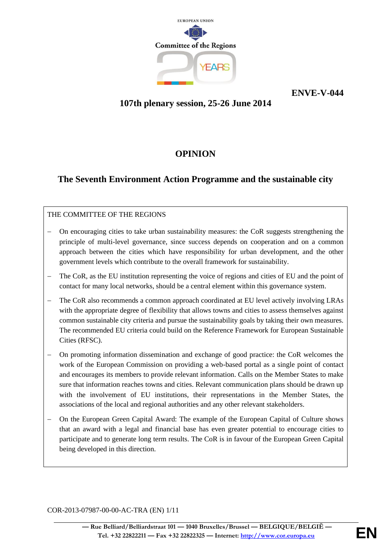

**ENVE-V-044**

## **107th plenary session, 25-26 June 2014**

# **OPINION**

# **The Seventh Environment Action Programme and the sustainable city**

## THE COMMITTEE OF THE REGIONS

- − On encouraging cities to take urban sustainability measures: the CoR suggests strengthening the principle of multi-level governance, since success depends on cooperation and on a common approach between the cities which have responsibility for urban development, and the other government levels which contribute to the overall framework for sustainability.
- The CoR, as the EU institution representing the voice of regions and cities of EU and the point of contact for many local networks, should be a central element within this governance system.
- The CoR also recommends a common approach coordinated at EU level actively involving LRAs with the appropriate degree of flexibility that allows towns and cities to assess themselves against common sustainable city criteria and pursue the sustainability goals by taking their own measures. The recommended EU criteria could build on the Reference Framework for European Sustainable Cities (RFSC).
- − On promoting information dissemination and exchange of good practice: the CoR welcomes the work of the European Commission on providing a web-based portal as a single point of contact and encourages its members to provide relevant information. Calls on the Member States to make sure that information reaches towns and cities. Relevant communication plans should be drawn up with the involvement of EU institutions, their representations in the Member States, the associations of the local and regional authorities and any other relevant stakeholders.
- − On the European Green Capital Award: The example of the European Capital of Culture shows that an award with a legal and financial base has even greater potential to encourage cities to participate and to generate long term results. The CoR is in favour of the European Green Capital being developed in this direction.

COR-2013-07987-00-00-AC-TRA (EN) 1/11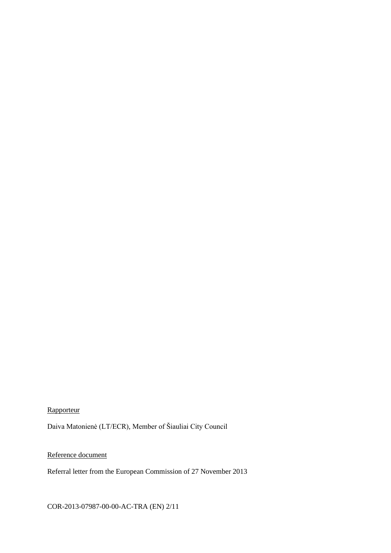## **Rapporteur**

Daiva Matonienė (LT/ECR), Member of Šiauliai City Council

## Reference document

Referral letter from the European Commission of 27 November 2013

### COR-2013-07987-00-00-AC-TRA (EN) 2/11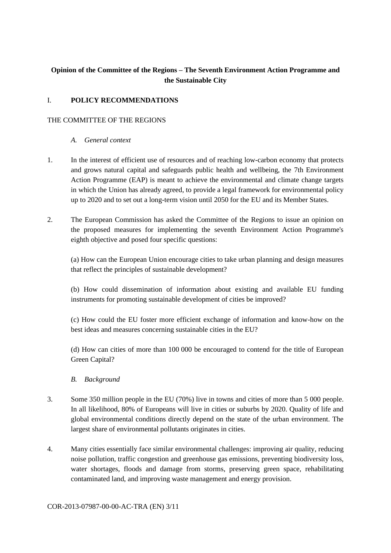## **Opinion of the Committee of the Regions – The Seventh Environment Action Programme and the Sustainable City**

### I. **POLICY RECOMMENDATIONS**

#### THE COMMITTEE OF THE REGIONS

- *A. General context*
- 1. In the interest of efficient use of resources and of reaching low-carbon economy that protects and grows natural capital and safeguards public health and wellbeing, the 7th Environment Action Programme (EAP) is meant to achieve the environmental and climate change targets in which the Union has already agreed, to provide a legal framework for environmental policy up to 2020 and to set out a long-term vision until 2050 for the EU and its Member States.
- 2. The European Commission has asked the Committee of the Regions to issue an opinion on the proposed measures for implementing the seventh Environment Action Programme's eighth objective and posed four specific questions:

(a) How can the European Union encourage cities to take urban planning and design measures that reflect the principles of sustainable development?

(b) How could dissemination of information about existing and available EU funding instruments for promoting sustainable development of cities be improved?

(c) How could the EU foster more efficient exchange of information and know-how on the best ideas and measures concerning sustainable cities in the EU?

(d) How can cities of more than 100 000 be encouraged to contend for the title of European Green Capital?

- *B. Background*
- 3. Some 350 million people in the EU (70%) live in towns and cities of more than 5 000 people. In all likelihood, 80% of Europeans will live in cities or suburbs by 2020. Quality of life and global environmental conditions directly depend on the state of the urban environment. The largest share of environmental pollutants originates in cities.
- 4. Many cities essentially face similar environmental challenges: improving air quality, reducing noise pollution, traffic congestion and greenhouse gas emissions, preventing biodiversity loss, water shortages, floods and damage from storms, preserving green space, rehabilitating contaminated land, and improving waste management and energy provision.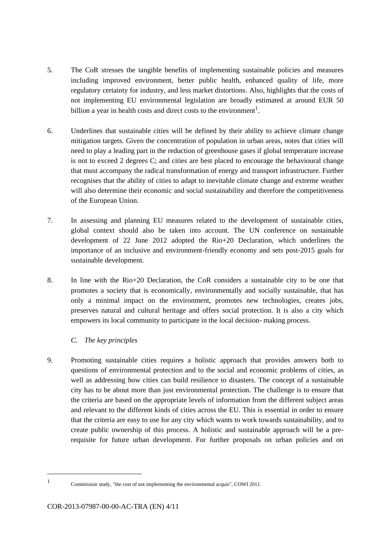- 5. The CoR stresses the tangible benefits of implementing sustainable policies and measures including improved environment, better public health, enhanced quality of life, more regulatory certainty for industry, and less market distortions. Also, highlights that the costs of not implementing EU environmental legislation are broadly estimated at around EUR 50 billion a year in health costs and direct costs to the environment<sup>1</sup>.
- 6. Underlines that sustainable cities will be defined by their ability to achieve climate change mitigation targets. Given the concentration of population in urban areas, notes that cities will need to play a leading part in the reduction of greenhouse gases if global temperature increase is not to exceed 2 degrees C; and cities are best placed to encourage the behavioural change that must accompany the radical transformation of energy and transport infrastructure. Further recognises that the ability of cities to adapt to inevitable climate change and extreme weather will also determine their economic and social sustainability and therefore the competitiveness of the European Union.
- 7. In assessing and planning EU measures related to the development of sustainable cities, global context should also be taken into account. The UN conference on sustainable development of 22 June 2012 adopted the Rio+20 Declaration, which underlines the importance of an inclusive and environment-friendly economy and sets post-2015 goals for sustainable development.
- 8. In line with the Rio+20 Declaration, the CoR considers a sustainable city to be one that promotes a society that is economically, environmentally and socially sustainable, that has only a minimal impact on the environment, promotes new technologies, creates jobs, preserves natural and cultural heritage and offers social protection. It is also a city which empowers its local community to participate in the local decision- making process.

#### *C. The key principles*

9. Promoting sustainable cities requires a holistic approach that provides answers both to questions of environmental protection and to the social and economic problems of cities, as well as addressing how cities can build resilience to disasters. The concept of a sustainable city has to be about more than just environmental protection. The challenge is to ensure that the criteria are based on the appropriate levels of information from the different subject areas and relevant to the different kinds of cities across the EU. This is essential in order to ensure that the criteria are easy to use for any city which wants to work towards sustainability, and to create public ownership of this process. A holistic and sustainable approach will be a prerequisite for future urban development. For further proposals on urban policies and on

<sup>1</sup>

Commission study, "the cost of not implementing the environmental acquis", COWI 2011.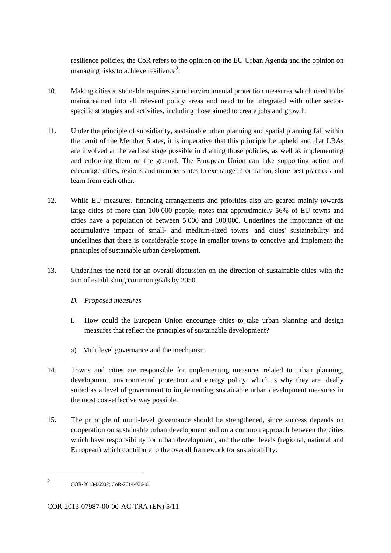resilience policies, the CoR refers to the opinion on the EU Urban Agenda and the opinion on managing risks to achieve resilience<sup>2</sup>.

- 10. Making cities sustainable requires sound environmental protection measures which need to be mainstreamed into all relevant policy areas and need to be integrated with other sectorspecific strategies and activities, including those aimed to create jobs and growth.
- 11. Under the principle of subsidiarity, sustainable urban planning and spatial planning fall within the remit of the Member States, it is imperative that this principle be upheld and that LRAs are involved at the earliest stage possible in drafting those policies, as well as implementing and enforcing them on the ground. The European Union can take supporting action and encourage cities, regions and member states to exchange information, share best practices and learn from each other.
- 12. While EU measures, financing arrangements and priorities also are geared mainly towards large cities of more than 100 000 people, notes that approximately 56% of EU towns and cities have a population of between 5 000 and 100 000. Underlines the importance of the accumulative impact of small- and medium-sized towns' and cities' sustainability and underlines that there is considerable scope in smaller towns to conceive and implement the principles of sustainable urban development.
- 13. Underlines the need for an overall discussion on the direction of sustainable cities with the aim of establishing common goals by 2050.
	- *D. Proposed measures*
	- I. How could the European Union encourage cities to take urban planning and design measures that reflect the principles of sustainable development?
	- a) Multilevel governance and the mechanism
- 14. Towns and cities are responsible for implementing measures related to urban planning, development, environmental protection and energy policy, which is why they are ideally suited as a level of government to implementing sustainable urban development measures in the most cost-effective way possible.
- 15. The principle of multi-level governance should be strengthened, since success depends on cooperation on sustainable urban development and on a common approach between the cities which have responsibility for urban development, and the other levels (regional, national and European) which contribute to the overall framework for sustainability.

<sup>2</sup> COR-2013-06902; CoR-2014-02646.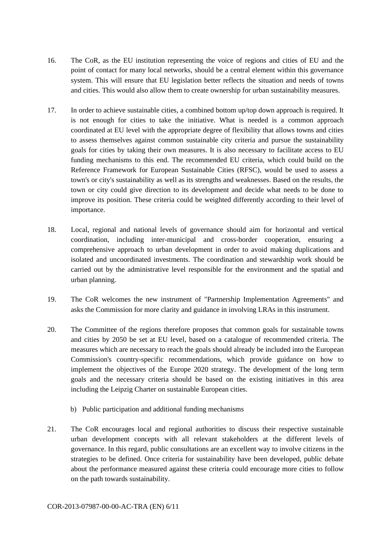- 16. The CoR, as the EU institution representing the voice of regions and cities of EU and the point of contact for many local networks, should be a central element within this governance system. This will ensure that EU legislation better reflects the situation and needs of towns and cities. This would also allow them to create ownership for urban sustainability measures.
- 17. In order to achieve sustainable cities, a combined bottom up/top down approach is required. It is not enough for cities to take the initiative. What is needed is a common approach coordinated at EU level with the appropriate degree of flexibility that allows towns and cities to assess themselves against common sustainable city criteria and pursue the sustainability goals for cities by taking their own measures. It is also necessary to facilitate access to EU funding mechanisms to this end. The recommended EU criteria, which could build on the Reference Framework for European Sustainable Cities (RFSC), would be used to assess a town's or city's sustainability as well as its strengths and weaknesses. Based on the results, the town or city could give direction to its development and decide what needs to be done to improve its position. These criteria could be weighted differently according to their level of importance.
- 18. Local, regional and national levels of governance should aim for horizontal and vertical coordination, including inter-municipal and cross-border cooperation, ensuring a comprehensive approach to urban development in order to avoid making duplications and isolated and uncoordinated investments. The coordination and stewardship work should be carried out by the administrative level responsible for the environment and the spatial and urban planning.
- 19. The CoR welcomes the new instrument of "Partnership Implementation Agreements" and asks the Commission for more clarity and guidance in involving LRAs in this instrument.
- 20. The Committee of the regions therefore proposes that common goals for sustainable towns and cities by 2050 be set at EU level, based on a catalogue of recommended criteria. The measures which are necessary to reach the goals should already be included into the European Commission's country-specific recommendations, which provide guidance on how to implement the objectives of the Europe 2020 strategy. The development of the long term goals and the necessary criteria should be based on the existing initiatives in this area including the Leipzig Charter on sustainable European cities.
	- b) Public participation and additional funding mechanisms
- 21. The CoR encourages local and regional authorities to discuss their respective sustainable urban development concepts with all relevant stakeholders at the different levels of governance. In this regard, public consultations are an excellent way to involve citizens in the strategies to be defined. Once criteria for sustainability have been developed, public debate about the performance measured against these criteria could encourage more cities to follow on the path towards sustainability.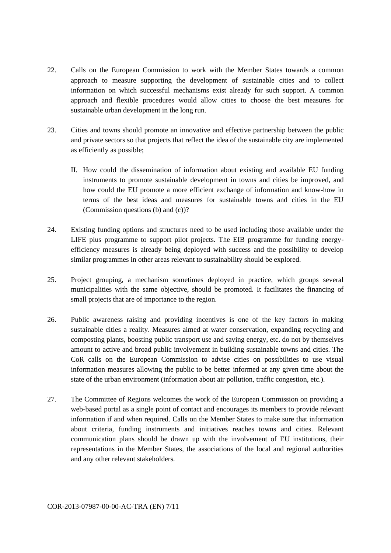- 22. Calls on the European Commission to work with the Member States towards a common approach to measure supporting the development of sustainable cities and to collect information on which successful mechanisms exist already for such support. A common approach and flexible procedures would allow cities to choose the best measures for sustainable urban development in the long run.
- 23. Cities and towns should promote an innovative and effective partnership between the public and private sectors so that projects that reflect the idea of the sustainable city are implemented as efficiently as possible;
	- II. How could the dissemination of information about existing and available EU funding instruments to promote sustainable development in towns and cities be improved, and how could the EU promote a more efficient exchange of information and know-how in terms of the best ideas and measures for sustainable towns and cities in the EU (Commission questions (b) and (c))?
- 24. Existing funding options and structures need to be used including those available under the LIFE plus programme to support pilot projects. The EIB programme for funding energyefficiency measures is already being deployed with success and the possibility to develop similar programmes in other areas relevant to sustainability should be explored.
- 25. Project grouping, a mechanism sometimes deployed in practice, which groups several municipalities with the same objective, should be promoted. It facilitates the financing of small projects that are of importance to the region.
- 26. Public awareness raising and providing incentives is one of the key factors in making sustainable cities a reality. Measures aimed at water conservation, expanding recycling and composting plants, boosting public transport use and saving energy, etc. do not by themselves amount to active and broad public involvement in building sustainable towns and cities. The CoR calls on the European Commission to advise cities on possibilities to use visual information measures allowing the public to be better informed at any given time about the state of the urban environment (information about air pollution, traffic congestion, etc.).
- 27. The Committee of Regions welcomes the work of the European Commission on providing a web-based portal as a single point of contact and encourages its members to provide relevant information if and when required. Calls on the Member States to make sure that information about criteria, funding instruments and initiatives reaches towns and cities. Relevant communication plans should be drawn up with the involvement of EU institutions, their representations in the Member States, the associations of the local and regional authorities and any other relevant stakeholders.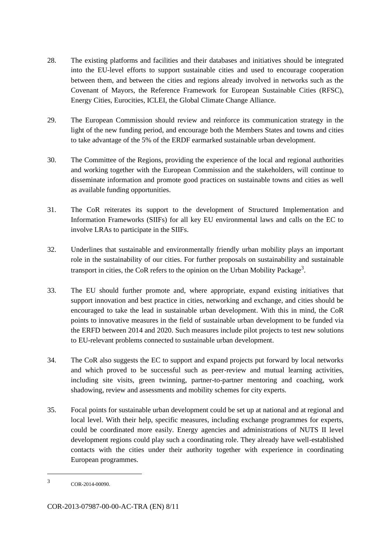- 28. The existing platforms and facilities and their databases and initiatives should be integrated into the EU-level efforts to support sustainable cities and used to encourage cooperation between them, and between the cities and regions already involved in networks such as the Covenant of Mayors, the Reference Framework for European Sustainable Cities (RFSC), Energy Cities, Eurocities, ICLEI, the Global Climate Change Alliance.
- 29. The European Commission should review and reinforce its communication strategy in the light of the new funding period, and encourage both the Members States and towns and cities to take advantage of the 5% of the ERDF earmarked sustainable urban development.
- 30. The Committee of the Regions, providing the experience of the local and regional authorities and working together with the European Commission and the stakeholders, will continue to disseminate information and promote good practices on sustainable towns and cities as well as available funding opportunities.
- 31. The CoR reiterates its support to the development of Structured Implementation and Information Frameworks (SIIFs) for all key EU environmental laws and calls on the EC to involve LRAs to participate in the SIIFs.
- 32. Underlines that sustainable and environmentally friendly urban mobility plays an important role in the sustainability of our cities. For further proposals on sustainability and sustainable transport in cities, the CoR refers to the opinion on the Urban Mobility Package<sup>3</sup>.
- 33. The EU should further promote and, where appropriate, expand existing initiatives that support innovation and best practice in cities, networking and exchange, and cities should be encouraged to take the lead in sustainable urban development. With this in mind, the CoR points to innovative measures in the field of sustainable urban development to be funded via the ERFD between 2014 and 2020. Such measures include pilot projects to test new solutions to EU-relevant problems connected to sustainable urban development.
- 34. The CoR also suggests the EC to support and expand projects put forward by local networks and which proved to be successful such as peer-review and mutual learning activities, including site visits, green twinning, partner-to-partner mentoring and coaching, work shadowing, review and assessments and mobility schemes for city experts.
- 35. Focal points for sustainable urban development could be set up at national and at regional and local level. With their help, specific measures, including exchange programmes for experts, could be coordinated more easily. Energy agencies and administrations of NUTS II level development regions could play such a coordinating role. They already have well-established contacts with the cities under their authority together with experience in coordinating European programmes.

<sup>3</sup> COR-2014-00090.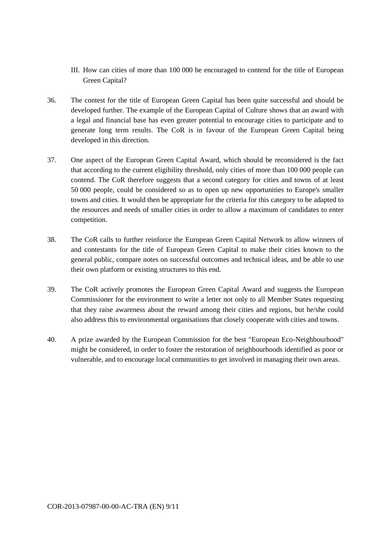- III. How can cities of more than 100 000 be encouraged to contend for the title of European Green Capital?
- 36. The contest for the title of European Green Capital has been quite successful and should be developed further. The example of the European Capital of Culture shows that an award with a legal and financial base has even greater potential to encourage cities to participate and to generate long term results. The CoR is in favour of the European Green Capital being developed in this direction.
- 37. One aspect of the European Green Capital Award, which should be reconsidered is the fact that according to the current eligibility threshold, only cities of more than 100 000 people can contend. The CoR therefore suggests that a second category for cities and towns of at least 50 000 people, could be considered so as to open up new opportunities to Europe's smaller towns and cities. It would then be appropriate for the criteria for this category to be adapted to the resources and needs of smaller cities in order to allow a maximum of candidates to enter competition.
- 38. The CoR calls to further reinforce the European Green Capital Network to allow winners of and contestants for the title of European Green Capital to make their cities known to the general public, compare notes on successful outcomes and technical ideas, and be able to use their own platform or existing structures to this end.
- 39. The CoR actively promotes the European Green Capital Award and suggests the European Commissioner for the environment to write a letter not only to all Member States requesting that they raise awareness about the reward among their cities and regions, but he/she could also address this to environmental organisations that closely cooperate with cities and towns.
- 40. A prize awarded by the European Commission for the best "European Eco-Neighbourhood" might be considered, in order to foster the restoration of neighbourhoods identified as poor or vulnerable, and to encourage local communities to get involved in managing their own areas.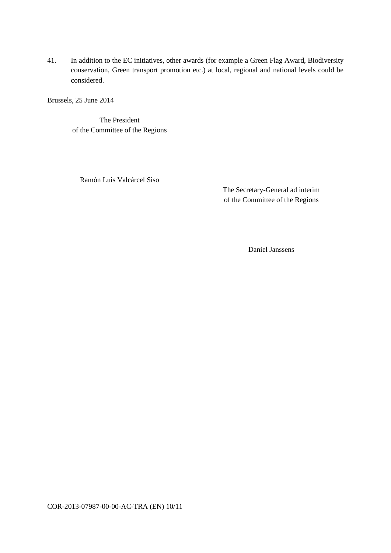41. In addition to the EC initiatives, other awards (for example a Green Flag Award, Biodiversity conservation, Green transport promotion etc.) at local, regional and national levels could be considered.

Brussels, 25 June 2014

The President of the Committee of the Regions

Ramón Luis Valcárcel Siso

The Secretary-General ad interim of the Committee of the Regions

Daniel Janssens